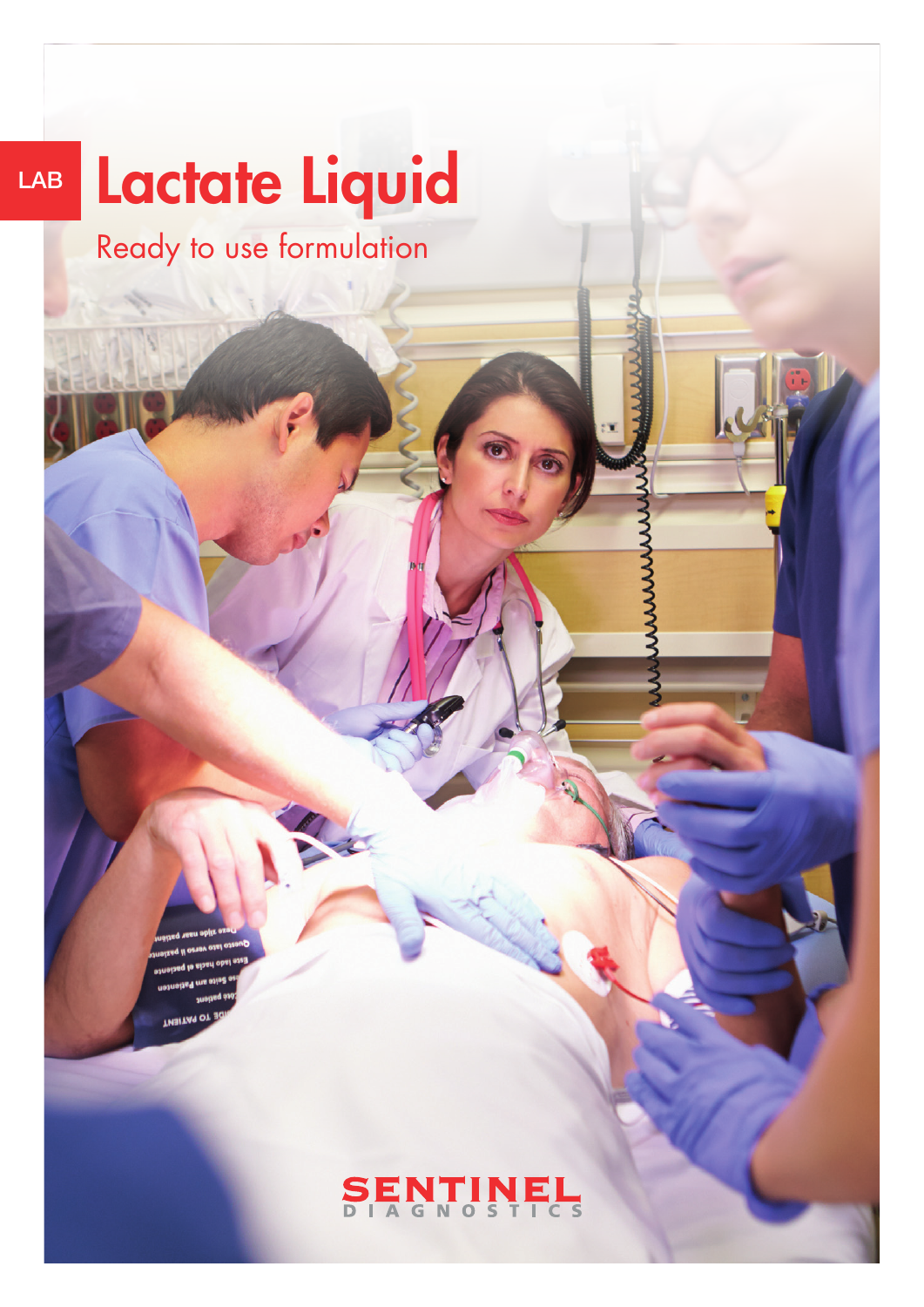# LAB Lactate Liquid

Ready to use formulation

#### ENTINE  $\sum_{D}$  $\overline{c}$  s